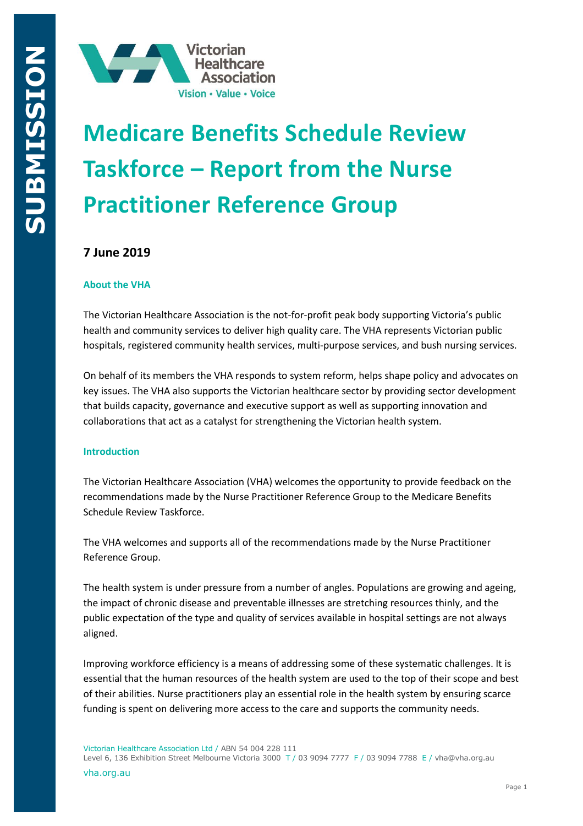

# **Medicare Benefits Schedule Review Taskforce – Report from the Nurse Practitioner Reference Group**

# **7 June 2019**

# **About the VHA**

The Victorian Healthcare Association is the not-for-profit peak body supporting Victoria's public health and community services to deliver high quality care. The VHA represents Victorian public hospitals, registered community health services, multi-purpose services, and bush nursing services.

On behalf of its members the VHA responds to system reform, helps shape policy and advocates on key issues. The VHA also supports the Victorian healthcare sector by providing sector development that builds capacity, governance and executive support as well as supporting innovation and collaborations that act as a catalyst for strengthening the Victorian health system.

#### **Introduction**

The Victorian Healthcare Association (VHA) welcomes the opportunity to provide feedback on the recommendations made by the Nurse Practitioner Reference Group to the Medicare Benefits Schedule Review Taskforce.

The VHA welcomes and supports all of the recommendations made by the Nurse Practitioner Reference Group.

The health system is under pressure from a number of angles. Populations are growing and ageing, the impact of chronic disease and preventable illnesses are stretching resources thinly, and the public expectation of the type and quality of services available in hospital settings are not always aligned.

Improving workforce efficiency is a means of addressing some of these systematic challenges. It is essential that the human resources of the health system are used to the top of their scope and best of their abilities. Nurse practitioners play an essential role in the health system by ensuring scarce funding is spent on delivering more access to the care and supports the community needs.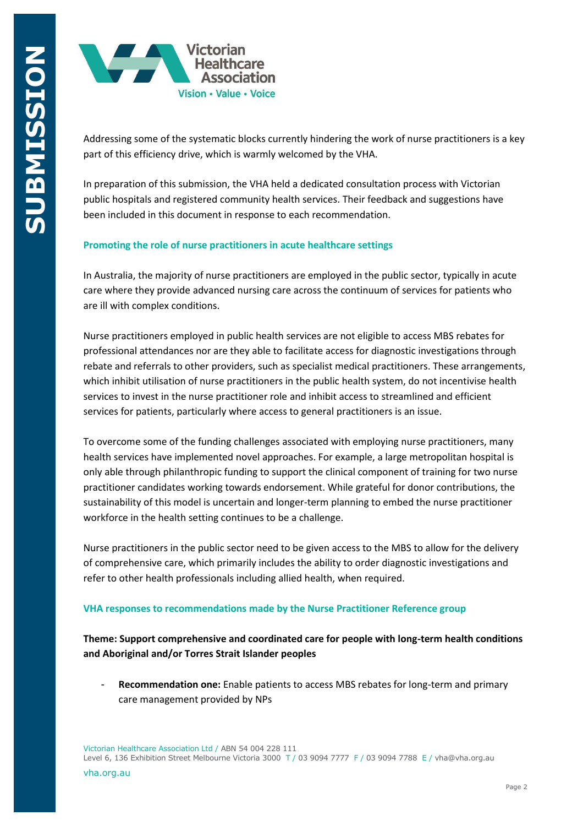

Addressing some of the systematic blocks currently hindering the work of nurse practitioners is a key part of this efficiency drive, which is warmly welcomed by the VHA.

In preparation of this submission, the VHA held a dedicated consultation process with Victorian public hospitals and registered community health services. Their feedback and suggestions have been included in this document in response to each recommendation.

#### **Promoting the role of nurse practitioners in acute healthcare settings**

In Australia, the majority of nurse practitioners are employed in the public sector, typically in acute care where they provide advanced nursing care across the continuum of services for patients who are ill with complex conditions.

Nurse practitioners employed in public health services are not eligible to access MBS rebates for professional attendances nor are they able to facilitate access for diagnostic investigations through rebate and referrals to other providers, such as specialist medical practitioners. These arrangements, which inhibit utilisation of nurse practitioners in the public health system, do not incentivise health services to invest in the nurse practitioner role and inhibit access to streamlined and efficient services for patients, particularly where access to general practitioners is an issue.

To overcome some of the funding challenges associated with employing nurse practitioners, many health services have implemented novel approaches. For example, a large metropolitan hospital is only able through philanthropic funding to support the clinical component of training for two nurse practitioner candidates working towards endorsement. While grateful for donor contributions, the sustainability of this model is uncertain and longer-term planning to embed the nurse practitioner workforce in the health setting continues to be a challenge.

Nurse practitioners in the public sector need to be given access to the MBS to allow for the delivery of comprehensive care, which primarily includes the ability to order diagnostic investigations and refer to other health professionals including allied health, when required.

#### **VHA responses to recommendations made by the Nurse Practitioner Reference group**

**Theme: Support comprehensive and coordinated care for people with long-term health conditions and Aboriginal and/or Torres Strait Islander peoples**

- **Recommendation one:** Enable patients to access MBS rebates for long-term and primary care management provided by NPs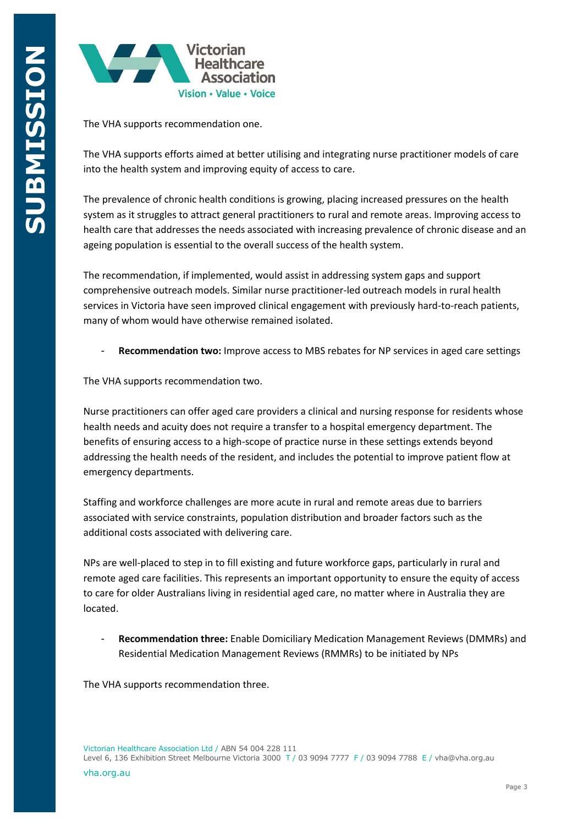

The VHA supports recommendation one.

The VHA supports efforts aimed at better utilising and integrating nurse practitioner models of care into the health system and improving equity of access to care.

The prevalence of chronic health conditions is growing, placing increased pressures on the health system as it struggles to attract general practitioners to rural and remote areas. Improving access to health care that addresses the needs associated with increasing prevalence of chronic disease and an ageing population is essential to the overall success of the health system.

The recommendation, if implemented, would assist in addressing system gaps and support comprehensive outreach models. Similar nurse practitioner-led outreach models in rural health services in Victoria have seen improved clinical engagement with previously hard-to-reach patients, many of whom would have otherwise remained isolated.

- **Recommendation two:** Improve access to MBS rebates for NP services in aged care settings

The VHA supports recommendation two.

Nurse practitioners can offer aged care providers a clinical and nursing response for residents whose health needs and acuity does not require a transfer to a hospital emergency department. The benefits of ensuring access to a high-scope of practice nurse in these settings extends beyond addressing the health needs of the resident, and includes the potential to improve patient flow at emergency departments.

Staffing and workforce challenges are more acute in rural and remote areas due to barriers associated with service constraints, population distribution and broader factors such as the additional costs associated with delivering care.

NPs are well-placed to step in to fill existing and future workforce gaps, particularly in rural and remote aged care facilities. This represents an important opportunity to ensure the equity of access to care for older Australians living in residential aged care, no matter where in Australia they are located.

- **Recommendation three:** Enable Domiciliary Medication Management Reviews (DMMRs) and Residential Medication Management Reviews (RMMRs) to be initiated by NPs

The VHA supports recommendation three.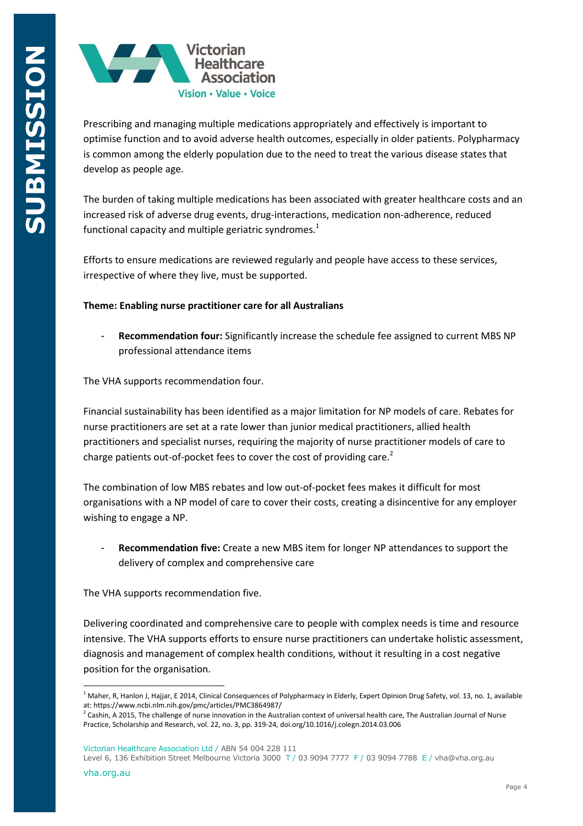

Prescribing and managing multiple medications appropriately and effectively is important to optimise function and to avoid adverse health outcomes, especially in older patients. Polypharmacy is common among the elderly population due to the need to treat the various disease states that develop as people age.

The burden of taking multiple medications has been associated with greater healthcare costs and an increased risk of adverse drug events, drug-interactions, medication non-adherence, reduced functional capacity and multiple geriatric syndromes.<sup>1</sup>

Efforts to ensure medications are reviewed regularly and people have access to these services, irrespective of where they live, must be supported.

# **Theme: Enabling nurse practitioner care for all Australians**

- **Recommendation four:** Significantly increase the schedule fee assigned to current MBS NP professional attendance items

The VHA supports recommendation four.

Financial sustainability has been identified as a major limitation for NP models of care. Rebates for nurse practitioners are set at a rate lower than junior medical practitioners, allied health practitioners and specialist nurses, requiring the majority of nurse practitioner models of care to charge patients out-of-pocket fees to cover the cost of providing care.<sup>2</sup>

The combination of low MBS rebates and low out-of-pocket fees makes it difficult for most organisations with a NP model of care to cover their costs, creating a disincentive for any employer wishing to engage a NP.

**Recommendation five:** Create a new MBS item for longer NP attendances to support the delivery of complex and comprehensive care

The VHA supports recommendation five.

Delivering coordinated and comprehensive care to people with complex needs is time and resource intensive. The VHA supports efforts to ensure nurse practitioners can undertake holistic assessment, diagnosis and management of complex health conditions, without it resulting in a cost negative position for the organisation.

Victorian Healthcare Association Ltd / ABN 54 004 228 111

Level 6, 136 Exhibition Street Melbourne Victoria 3000 T / 03 9094 7777 F / 03 9094 7788 E / vha@vha.org.au

1

<sup>&</sup>lt;sup>1</sup> Maher, R, Hanlon J, Hajjar, E 2014, Clinical Consequences of Polypharmacy in Elderly, Expert Opinion Drug Safety, vol. 13, no. 1, available at: https://www.ncbi.nlm.nih.gov/pmc/articles/PMC3864987/<br><sup>2</sup> Cashin, A 2015. The shallonge of nurse innovation in the Aust

Cashin, A 2015, The challenge of nurse innovation in the Australian context of universal health care, The Australian Journal of Nurse Practice, Scholarship and Research, vol. 22, no. 3, pp. 319-24, doi.org/10.1016/j.colegn.2014.03.006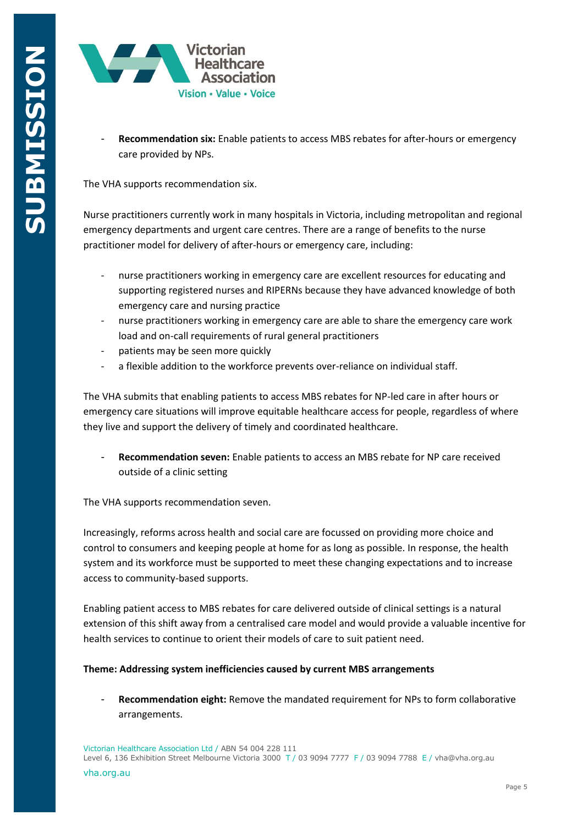

**Recommendation six:** Enable patients to access MBS rebates for after-hours or emergency care provided by NPs.

The VHA supports recommendation six.

Nurse practitioners currently work in many hospitals in Victoria, including metropolitan and regional emergency departments and urgent care centres. There are a range of benefits to the nurse practitioner model for delivery of after-hours or emergency care, including:

- nurse practitioners working in emergency care are excellent resources for educating and supporting registered nurses and RIPERNs because they have advanced knowledge of both emergency care and nursing practice
- nurse practitioners working in emergency care are able to share the emergency care work load and on-call requirements of rural general practitioners
- patients may be seen more quickly
- a flexible addition to the workforce prevents over-reliance on individual staff.

The VHA submits that enabling patients to access MBS rebates for NP-led care in after hours or emergency care situations will improve equitable healthcare access for people, regardless of where they live and support the delivery of timely and coordinated healthcare.

- **Recommendation seven:** Enable patients to access an MBS rebate for NP care received outside of a clinic setting

The VHA supports recommendation seven.

Increasingly, reforms across health and social care are focussed on providing more choice and control to consumers and keeping people at home for as long as possible. In response, the health system and its workforce must be supported to meet these changing expectations and to increase access to community-based supports.

Enabling patient access to MBS rebates for care delivered outside of clinical settings is a natural extension of this shift away from a centralised care model and would provide a valuable incentive for health services to continue to orient their models of care to suit patient need.

# **Theme: Addressing system inefficiencies caused by current MBS arrangements**

**Recommendation eight:** Remove the mandated requirement for NPs to form collaborative arrangements.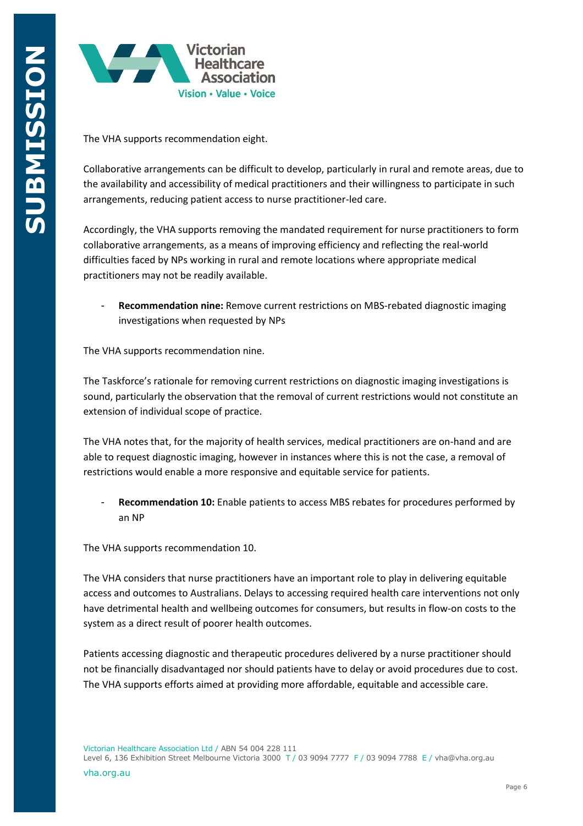

The VHA supports recommendation eight.

Collaborative arrangements can be difficult to develop, particularly in rural and remote areas, due to the availability and accessibility of medical practitioners and their willingness to participate in such arrangements, reducing patient access to nurse practitioner-led care.

Accordingly, the VHA supports removing the mandated requirement for nurse practitioners to form collaborative arrangements, as a means of improving efficiency and reflecting the real-world difficulties faced by NPs working in rural and remote locations where appropriate medical practitioners may not be readily available.

- **Recommendation nine:** Remove current restrictions on MBS-rebated diagnostic imaging investigations when requested by NPs

The VHA supports recommendation nine.

The Taskforce's rationale for removing current restrictions on diagnostic imaging investigations is sound, particularly the observation that the removal of current restrictions would not constitute an extension of individual scope of practice.

The VHA notes that, for the majority of health services, medical practitioners are on-hand and are able to request diagnostic imaging, however in instances where this is not the case, a removal of restrictions would enable a more responsive and equitable service for patients.

Recommendation 10: Enable patients to access MBS rebates for procedures performed by an NP

The VHA supports recommendation 10.

The VHA considers that nurse practitioners have an important role to play in delivering equitable access and outcomes to Australians. Delays to accessing required health care interventions not only have detrimental health and wellbeing outcomes for consumers, but results in flow-on costs to the system as a direct result of poorer health outcomes.

Patients accessing diagnostic and therapeutic procedures delivered by a nurse practitioner should not be financially disadvantaged nor should patients have to delay or avoid procedures due to cost. The VHA supports efforts aimed at providing more affordable, equitable and accessible care.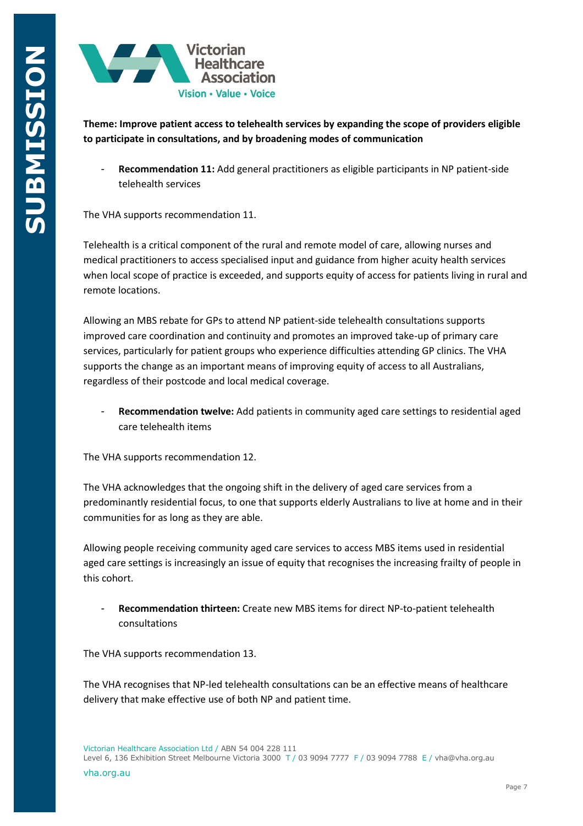

**Theme: Improve patient access to telehealth services by expanding the scope of providers eligible to participate in consultations, and by broadening modes of communication**

Recommendation 11: Add general practitioners as eligible participants in NP patient-side telehealth services

The VHA supports recommendation 11.

Telehealth is a critical component of the rural and remote model of care, allowing nurses and medical practitioners to access specialised input and guidance from higher acuity health services when local scope of practice is exceeded, and supports equity of access for patients living in rural and remote locations.

Allowing an MBS rebate for GPs to attend NP patient-side telehealth consultations supports improved care coordination and continuity and promotes an improved take-up of primary care services, particularly for patient groups who experience difficulties attending GP clinics. The VHA supports the change as an important means of improving equity of access to all Australians, regardless of their postcode and local medical coverage.

- **Recommendation twelve:** Add patients in community aged care settings to residential aged care telehealth items

The VHA supports recommendation 12.

The VHA acknowledges that the ongoing shift in the delivery of aged care services from a predominantly residential focus, to one that supports elderly Australians to live at home and in their communities for as long as they are able.

Allowing people receiving community aged care services to access MBS items used in residential aged care settings is increasingly an issue of equity that recognises the increasing frailty of people in this cohort.

- **Recommendation thirteen:** Create new MBS items for direct NP-to-patient telehealth consultations

The VHA supports recommendation 13.

The VHA recognises that NP-led telehealth consultations can be an effective means of healthcare delivery that make effective use of both NP and patient time.